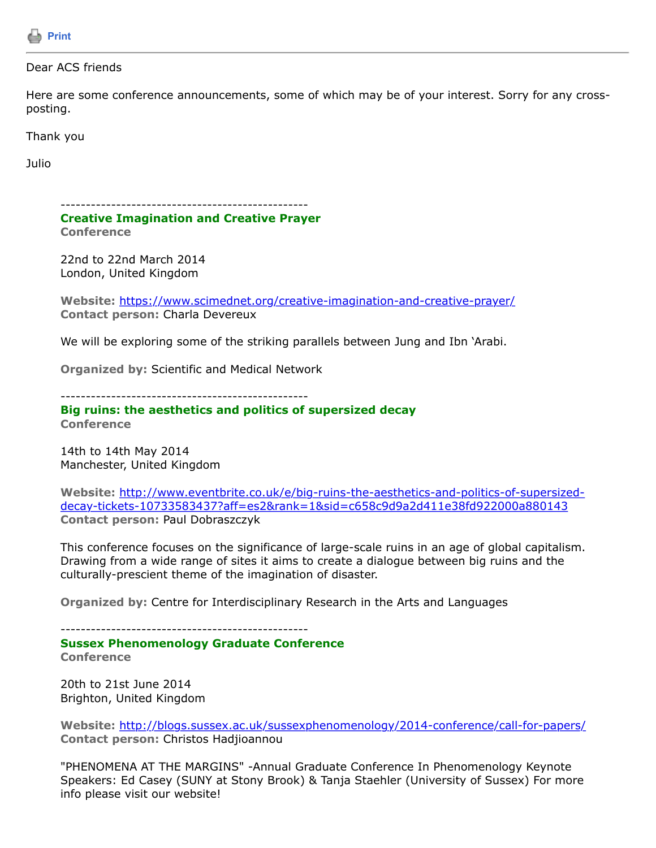

## Dear ACS friends

Here are some conference announcements, some of which may be of your interest. Sorry for any crossposting.

Thank you

Julio

------------------------------------------------- **Creative Imagination and Creative Prayer Conference**

22nd to 22nd March 2014 London, United Kingdom

**Website:** <https://www.scimednet.org/creative-imagination-and-creative-prayer/> **Contact person:** Charla Devereux

We will be exploring some of the striking parallels between Jung and Ibn 'Arabi.

**Organized by:** Scientific and Medical Network

-------------------------------------------------

## **Big ruins: the aesthetics and politics of supersized decay Conference**

14th to 14th May 2014 Manchester, United Kingdom

**Website:** http://www.eventbrite.co.uk/e/big-ruins-the-aesthetics-and-politics-of-supersized[decay-tickets-10733583437?aff=es2&rank=1&sid=c658c9d9a2d411e38fd922000a880143](http://www.eventbrite.co.uk/e/big-ruins-the-aesthetics-and-politics-of-supersized-decay-tickets-10733583437?aff=es2&rank=1&sid=c658c9d9a2d411e38fd922000a880143) **Contact person:** Paul Dobraszczyk

This conference focuses on the significance of large-scale ruins in an age of global capitalism. Drawing from a wide range of sites it aims to create a dialogue between big ruins and the culturally-prescient theme of the imagination of disaster.

**Organized by:** Centre for Interdisciplinary Research in the Arts and Languages

-------------------------------------------------

**Sussex Phenomenology Graduate Conference Conference**

20th to 21st June 2014 Brighton, United Kingdom

**Website:** <http://blogs.sussex.ac.uk/sussexphenomenology/2014-conference/call-for-papers/> **Contact person:** Christos Hadjioannou

"PHENOMENA AT THE MARGINS" -Annual Graduate Conference In Phenomenology Keynote Speakers: Ed Casey (SUNY at Stony Brook) & Tanja Staehler (University of Sussex) For more info please visit our website!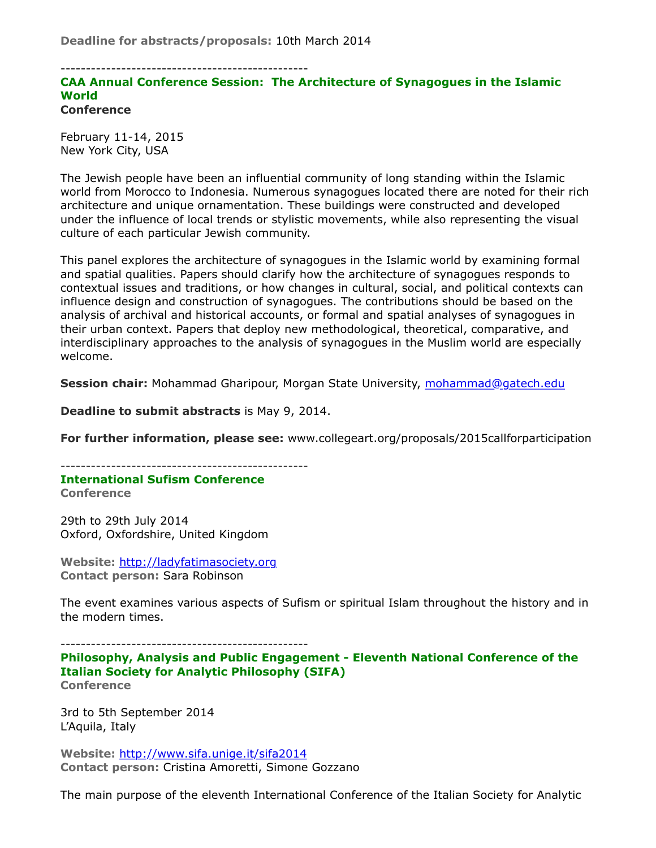-------------------------------------------------

## **CAA Annual Conference Session: The Architecture of Synagogues in the Islamic World Conference**

February 11-14, 2015 New York City, USA

The Jewish people have been an influential community of long standing within the Islamic world from Morocco to Indonesia. Numerous synagogues located there are noted for their rich architecture and unique ornamentation. These buildings were constructed and developed under the influence of local trends or stylistic movements, while also representing the visual culture of each particular Jewish community.

This panel explores the architecture of synagogues in the Islamic world by examining formal and spatial qualities. Papers should clarify how the architecture of synagogues responds to contextual issues and traditions, or how changes in cultural, social, and political contexts can influence design and construction of synagogues. The contributions should be based on the analysis of archival and historical accounts, or formal and spatial analyses of synagogues in their urban context. Papers that deploy new methodological, theoretical, comparative, and interdisciplinary approaches to the analysis of synagogues in the Muslim world are especially welcome.

**Session chair:** Mohammad Gharipour, Morgan State University, [mohammad@gatech.edu](https://listserv.tamu.edu/cgi-bin/mohammad@gatech.edu)

**Deadline to submit abstracts** is May 9, 2014.

**For further information, please see:** www.collegeart.org/proposals/2015callforparticipation

------------------------------------------------- **International Sufism Conference Conference**

29th to 29th July 2014 Oxford, Oxfordshire, United Kingdom

**Website:** [http://ladyfatimasociety.org](http://ladyfatimasociety.org/) **Contact person:** Sara Robinson

The event examines various aspects of Sufism or spiritual Islam throughout the history and in the modern times.

**Philosophy, Analysis and Public Engagement - Eleventh National Conference of the Italian Society for Analytic Philosophy (SIFA) Conference**

3rd to 5th September 2014 L'Aquila, Italy

**Website:** <http://www.sifa.unige.it/sifa2014> **Contact person:** Cristina Amoretti, Simone Gozzano

The main purpose of the eleventh International Conference of the Italian Society for Analytic